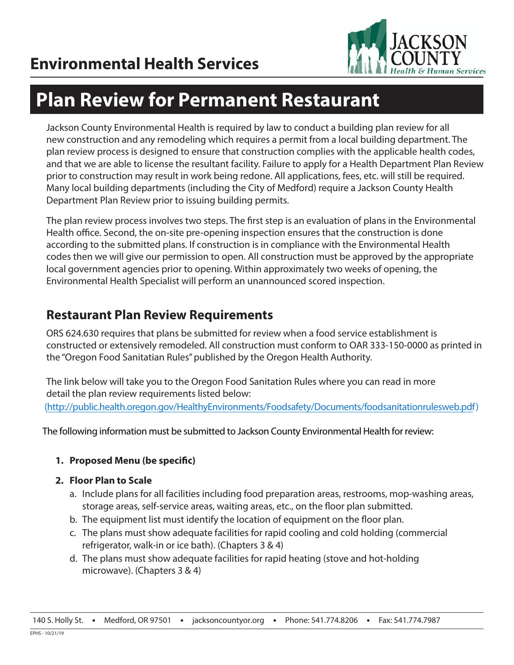

# **Plan Review for Permanent Restaurant**

Jackson County Environmental Health is required by law to conduct a building plan review for all new construction and any remodeling which requires a permit from a local building department. The plan review process is designed to ensure that construction complies with the applicable health codes, and that we are able to license the resultant facility. Failure to apply for a Health Department Plan Review prior to construction may result in work being redone. All applications, fees, etc. will still be required. Many local building departments (including the City of Medford) require a Jackson County Health Department Plan Review prior to issuing building permits.

The plan review process involves two steps. The first step is an evaluation of plans in the Environmental Health office. Second, the on-site pre-opening inspection ensures that the construction is done according to the submitted plans. If construction is in compliance with the Environmental Health codes then we will give our permission to open. All construction must be approved by the appropriate local government agencies prior to opening. Within approximately two weeks of opening, the Environmental Health Specialist will perform an unannounced scored inspection.

### **Restaurant Plan Review Requirements**

ORS 624.630 requires that plans be submitted for review when a food service establishment is constructed or extensively remodeled. All construction must conform to OAR 333-150-0000 as printed in the "Oregon Food Sanitatian Rules" published by the Oregon Health Authority.

The link below will take you to the Oregon Food Sanitation Rules where you can read in more detail the plan review requirements listed below: (http://public.health.oregon.gov/HealthyEnvironments/Foodsafety/Documents/foodsanitationrulesweb.pdf)

The following information must be submitted to Jackson County Environmental Health for review:

#### **1. Proposed Menu (be specific)**

#### **2. Floor Plan to Scale**

- a. Include plans for all facilities including food preparation areas, restrooms, mop-washing areas, storage areas, self-service areas, waiting areas, etc., on the floor plan submitted.
- b. The equipment list must identify the location of equipment on the floor plan.
- c. The plans must show adequate facilities for rapid cooling and cold holding (commercial refrigerator, walk-in or ice bath). (Chapters 3 & 4)
- d. The plans must show adequate facilities for rapid heating (stove and hot-holding microwave). (Chapters 3 & 4)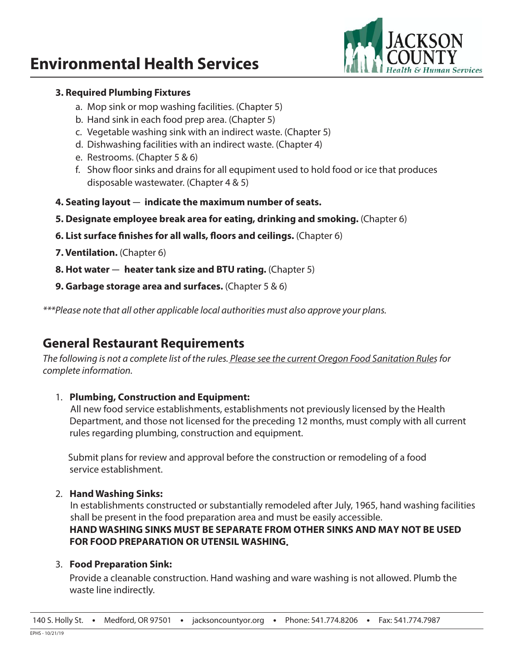

#### **3. Required Plumbing Fixtures**

- a. Mop sink or mop washing facilities. (Chapter 5)
- b. Hand sink in each food prep area. (Chapter 5)
- c. Vegetable washing sink with an indirect waste. (Chapter 5)
- d. Dishwashing facilities with an indirect waste. (Chapter 4)
- e. Restrooms. (Chapter 5 & 6)
- f. Show floor sinks and drains for all equpiment used to hold food or ice that produces disposable wastewater. (Chapter 4 & 5)
- **4. Seating layout** — **indicate the maximum number of seats.**
- **5. Designate employee break area for eating, drinking and smoking.** (Chapter 6)
- **6. List surface finishes for all walls, floors and ceilings.** (Chapter 6)
- **7. Ventilation.** (Chapter 6)
- **8. Hot water heater tank size and BTU rating.** (Chapter 5)
- **9. Garbage storage area and surfaces.** (Chapter 5 & 6)

*\*\*\*Please note that all other applicable local authorities must also approve your plans.*

### **General Restaurant Requirements**

Th*e following is not a complete list of the rules. Please see the current Oregon Food Sanitation Rules for complete information.*

#### 1. **Plumbing, Construction and Equipment:**

 All new food service establishments, establishments not previously licensed by the Health Department, and those not licensed for the preceding 12 months, must comply with all current rules regarding plumbing, construction and equipment.

Submit plans for review and approval before the construction or remodeling of a food service establishment.

#### 2. **Hand Washing Sinks:**

 In establishments constructed or substantially remodeled after July, 1965, hand washing facilities shall be present in the food preparation area and must be easily accessible.  **HAND WASHING SINKS MUST BE SEPARATE FROM OTHER SINKS AND MAY NOT BE USED FOR FOOD PREPARATION OR UTENSIL WASHING.**

#### 3. **Food Preparation Sink:**

Provide a cleanable construction. Hand washing and ware washing is not allowed. Plumb the waste line indirectly.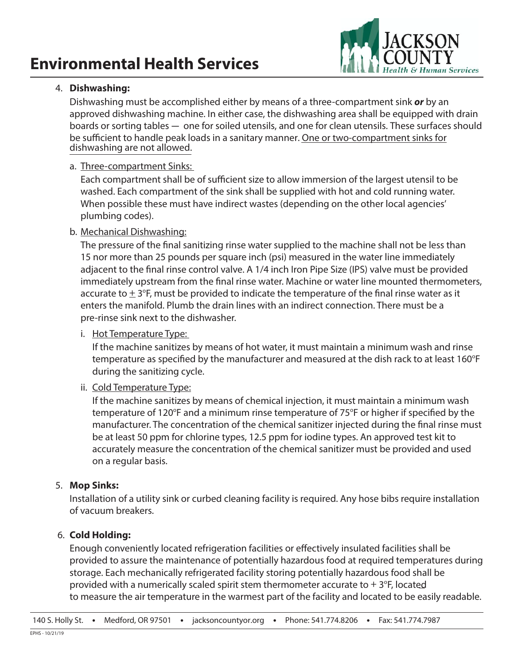

#### 4. **Dishwashing:**

Dishwashing must be accomplished either by means of a three-compartment sink *or* by an approved dishwashing machine. In either case, the dishwashing area shall be equipped with drain boards or sorting tables — one for soiled utensils, and one for clean utensils. These surfaces should be sufficient to handle peak loads in a sanitary manner. One or two-compartment sinks for dishwashing are not allowed.

#### a. Three-compartment Sinks:

 Each compartment shall be of sufficient size to allow immersion of the largest utensil to be washed. Each compartment of the sink shall be supplied with hot and cold running water. When possible these must have indirect wastes (depending on the other local agencies' plumbing codes).

#### b. Mechanical Dishwashing:

 The pressure of the final sanitizing rinse water supplied to the machine shall not be less than 15 nor more than 25 pounds per square inch (psi) measured in the water line immediately adjacent to the final rinse control valve. A 1/4 inch Iron Pipe Size (IPS) valve must be provided immediately upstream from the final rinse water. Machine or water line mounted thermometers, accurate to  $\pm$  3°F, must be provided to indicate the temperature of the final rinse water as it enters the manifold. Plumb the drain lines with an indirect connection. There must be a pre-rinse sink next to the dishwasher.

#### i. Hot Temperature Type:

 If the machine sanitizes by means of hot water, it must maintain a minimum wash and rinse temperature as specified by the manufacturer and measured at the dish rack to at least 160°F during the sanitizing cycle.

#### ii. Cold Temperature Type:

 If the machine sanitizes by means of chemical injection, it must maintain a minimum wash temperature of 120°F and a minimum rinse temperature of 75°F or higher if specified by the manufacturer. The concentration of the chemical sanitizer injected during the final rinse must be at least 50 ppm for chlorine types, 12.5 ppm for iodine types. An approved test kit to accurately measure the concentration of the chemical sanitizer must be provided and used on a regular basis.

#### 5. **Mop Sinks:**

Installation of a utility sink or curbed cleaning facility is required. Any hose bibs require installation of vacuum breakers.

#### 6. **Cold Holding:**

Enough conveniently located refrigeration facilities or effectively insulated facilities shall be provided to assure the maintenance of potentially hazardous food at required temperatures during storage. Each mechanically refrigerated facility storing potentially hazardous food shall be provided with a numerically scaled spirit stem thermometer accurate to  $+3$ °F, located to measure the air temperature in the warmest part of the facility and located to be easily readable.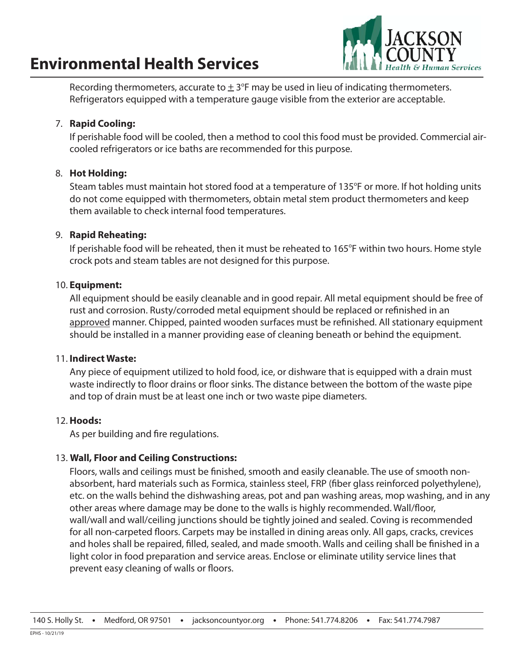

Recording thermometers, accurate to  $\pm 3^{\circ}$ F may be used in lieu of indicating thermometers. Refrigerators equipped with a temperature gauge visible from the exterior are acceptable.

#### 7. **Rapid Cooling:**

If perishable food will be cooled, then a method to cool this food must be provided. Commercial aircooled refrigerators or ice baths are recommended for this purpose.

#### 8. **Hot Holding:**

Steam tables must maintain hot stored food at a temperature of 135°F or more. If hot holding units do not come equipped with thermometers, obtain metal stem product thermometers and keep them available to check internal food temperatures.

#### 9. **Rapid Reheating:**

If perishable food will be reheated, then it must be reheated to 165°F within two hours. Home style crock pots and steam tables are not designed for this purpose.

#### 10. **Equipment:**

All equipment should be easily cleanable and in good repair. All metal equipment should be free of rust and corrosion. Rusty/corroded metal equipment should be replaced or refinished in an approved manner. Chipped, painted wooden surfaces must be refinished. All stationary equipment should be installed in a manner providing ease of cleaning beneath or behind the equipment.

#### 11. **Indirect Waste:**

Any piece of equipment utilized to hold food, ice, or dishware that is equipped with a drain must waste indirectly to floor drains or floor sinks. The distance between the bottom of the waste pipe and top of drain must be at least one inch or two waste pipe diameters.

#### 12. **Hoods:**

As per building and fire regulations.

#### 13. **Wall, Floor and Ceiling Constructions:**

Floors, walls and ceilings must be finished, smooth and easily cleanable. The use of smooth nonabsorbent, hard materials such as Formica, stainless steel, FRP (fiber glass reinforced polyethylene), etc. on the walls behind the dishwashing areas, pot and pan washing areas, mop washing, and in any other areas where damage may be done to the walls is highly recommended. Wall/floor, wall/wall and wall/ceiling junctions should be tightly joined and sealed. Coving is recommended for all non-carpeted floors. Carpets may be installed in dining areas only. All gaps, cracks, crevices and holes shall be repaired, filled, sealed, and made smooth. Walls and ceiling shall be finished in a light color in food preparation and service areas. Enclose or eliminate utility service lines that prevent easy cleaning of walls or floors.